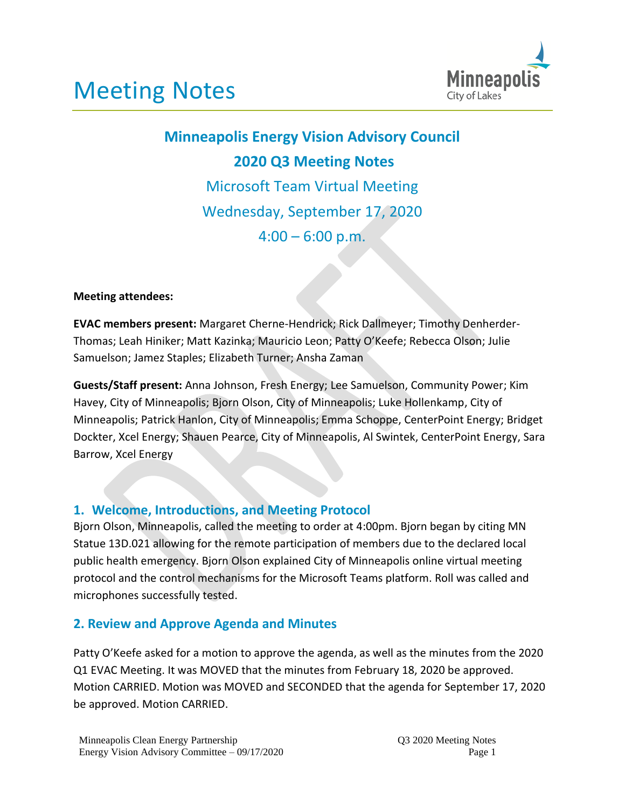

# **Minneapolis Energy Vision Advisory Council 2020 Q3 Meeting Notes** Microsoft Team Virtual Meeting Wednesday, September 17, 2020  $4:00 - 6:00$  p.m.

#### **Meeting attendees:**

**EVAC members present:** Margaret Cherne-Hendrick; Rick Dallmeyer; Timothy Denherder-Thomas; Leah Hiniker; Matt Kazinka; Mauricio Leon; Patty O'Keefe; Rebecca Olson; Julie Samuelson; Jamez Staples; Elizabeth Turner; Ansha Zaman

**Guests/Staff present:** Anna Johnson, Fresh Energy; Lee Samuelson, Community Power; Kim Havey, City of Minneapolis; Bjorn Olson, City of Minneapolis; Luke Hollenkamp, City of Minneapolis; Patrick Hanlon, City of Minneapolis; Emma Schoppe, CenterPoint Energy; Bridget Dockter, Xcel Energy; Shauen Pearce, City of Minneapolis, Al Swintek, CenterPoint Energy, Sara Barrow, Xcel Energy

## **1. Welcome, Introductions, and Meeting Protocol**

Bjorn Olson, Minneapolis, called the meeting to order at 4:00pm. Bjorn began by citing MN Statue 13D.021 allowing for the remote participation of members due to the declared local public health emergency. Bjorn Olson explained City of Minneapolis online virtual meeting protocol and the control mechanisms for the Microsoft Teams platform. Roll was called and microphones successfully tested.

#### **2. Review and Approve Agenda and Minutes**

Patty O'Keefe asked for a motion to approve the agenda, as well as the minutes from the 2020 Q1 EVAC Meeting. It was MOVED that the minutes from February 18, 2020 be approved. Motion CARRIED. Motion was MOVED and SECONDED that the agenda for September 17, 2020 be approved. Motion CARRIED.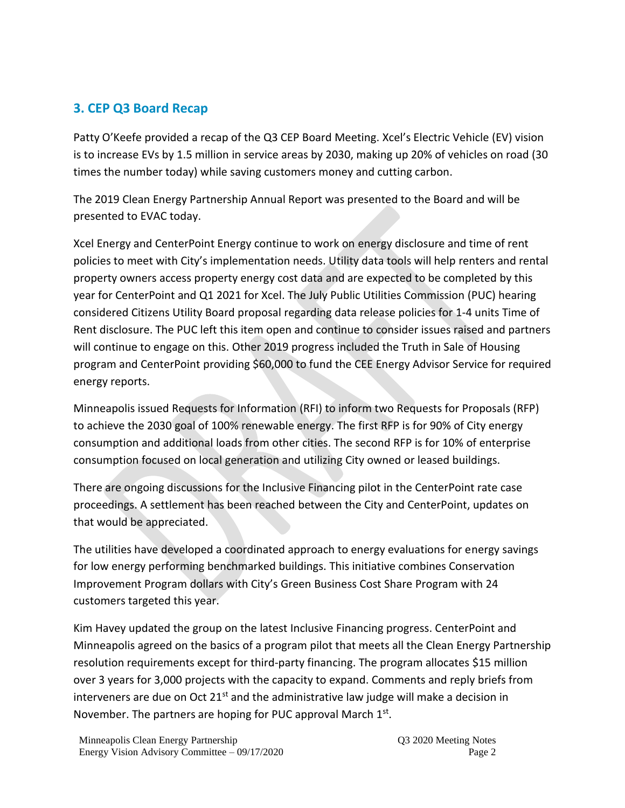## **3. CEP Q3 Board Recap**

Patty O'Keefe provided a recap of the Q3 CEP Board Meeting. Xcel's Electric Vehicle (EV) vision is to increase EVs by 1.5 million in service areas by 2030, making up 20% of vehicles on road (30 times the number today) while saving customers money and cutting carbon.

The 2019 Clean Energy Partnership Annual Report was presented to the Board and will be presented to EVAC today.

Xcel Energy and CenterPoint Energy continue to work on energy disclosure and time of rent policies to meet with City's implementation needs. Utility data tools will help renters and rental property owners access property energy cost data and are expected to be completed by this year for CenterPoint and Q1 2021 for Xcel. The July Public Utilities Commission (PUC) hearing considered Citizens Utility Board proposal regarding data release policies for 1-4 units Time of Rent disclosure. The PUC left this item open and continue to consider issues raised and partners will continue to engage on this. Other 2019 progress included the Truth in Sale of Housing program and CenterPoint providing \$60,000 to fund the CEE Energy Advisor Service for required energy reports.

Minneapolis issued Requests for Information (RFI) to inform two Requests for Proposals (RFP) to achieve the 2030 goal of 100% renewable energy. The first RFP is for 90% of City energy consumption and additional loads from other cities. The second RFP is for 10% of enterprise consumption focused on local generation and utilizing City owned or leased buildings.

There are ongoing discussions for the Inclusive Financing pilot in the CenterPoint rate case proceedings. A settlement has been reached between the City and CenterPoint, updates on that would be appreciated.

The utilities have developed a coordinated approach to energy evaluations for energy savings for low energy performing benchmarked buildings. This initiative combines Conservation Improvement Program dollars with City's Green Business Cost Share Program with 24 customers targeted this year.

Kim Havey updated the group on the latest Inclusive Financing progress. CenterPoint and Minneapolis agreed on the basics of a program pilot that meets all the Clean Energy Partnership resolution requirements except for third-party financing. The program allocates \$15 million over 3 years for 3,000 projects with the capacity to expand. Comments and reply briefs from interveners are due on Oct  $21<sup>st</sup>$  and the administrative law judge will make a decision in November. The partners are hoping for PUC approval March 1st.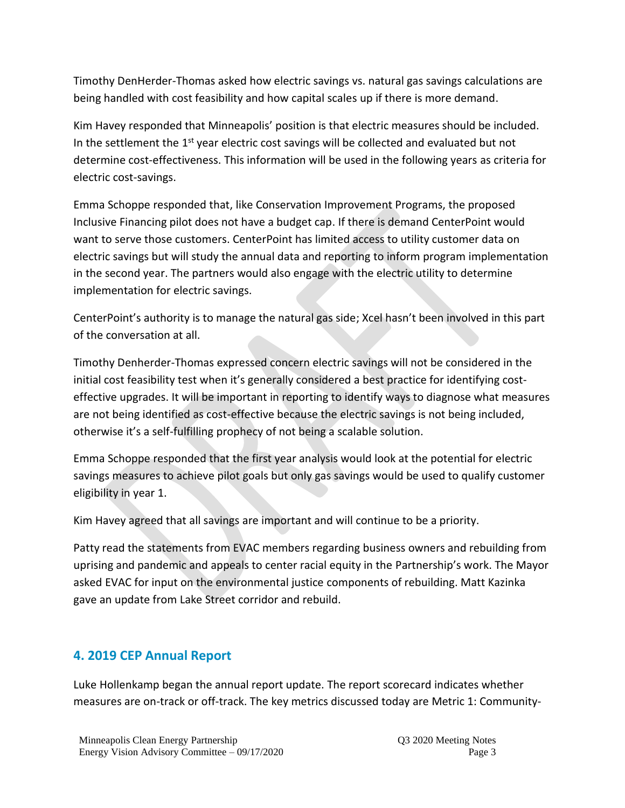Timothy DenHerder-Thomas asked how electric savings vs. natural gas savings calculations are being handled with cost feasibility and how capital scales up if there is more demand.

Kim Havey responded that Minneapolis' position is that electric measures should be included. In the settlement the  $1<sup>st</sup>$  year electric cost savings will be collected and evaluated but not determine cost-effectiveness. This information will be used in the following years as criteria for electric cost-savings.

Emma Schoppe responded that, like Conservation Improvement Programs, the proposed Inclusive Financing pilot does not have a budget cap. If there is demand CenterPoint would want to serve those customers. CenterPoint has limited access to utility customer data on electric savings but will study the annual data and reporting to inform program implementation in the second year. The partners would also engage with the electric utility to determine implementation for electric savings.

CenterPoint's authority is to manage the natural gas side; Xcel hasn't been involved in this part of the conversation at all.

Timothy Denherder-Thomas expressed concern electric savings will not be considered in the initial cost feasibility test when it's generally considered a best practice for identifying costeffective upgrades. It will be important in reporting to identify ways to diagnose what measures are not being identified as cost-effective because the electric savings is not being included, otherwise it's a self-fulfilling prophecy of not being a scalable solution.

Emma Schoppe responded that the first year analysis would look at the potential for electric savings measures to achieve pilot goals but only gas savings would be used to qualify customer eligibility in year 1.

Kim Havey agreed that all savings are important and will continue to be a priority.

Patty read the statements from EVAC members regarding business owners and rebuilding from uprising and pandemic and appeals to center racial equity in the Partnership's work. The Mayor asked EVAC for input on the environmental justice components of rebuilding. Matt Kazinka gave an update from Lake Street corridor and rebuild.

## **4. 2019 CEP Annual Report**

Luke Hollenkamp began the annual report update. The report scorecard indicates whether measures are on-track or off-track. The key metrics discussed today are Metric 1: Community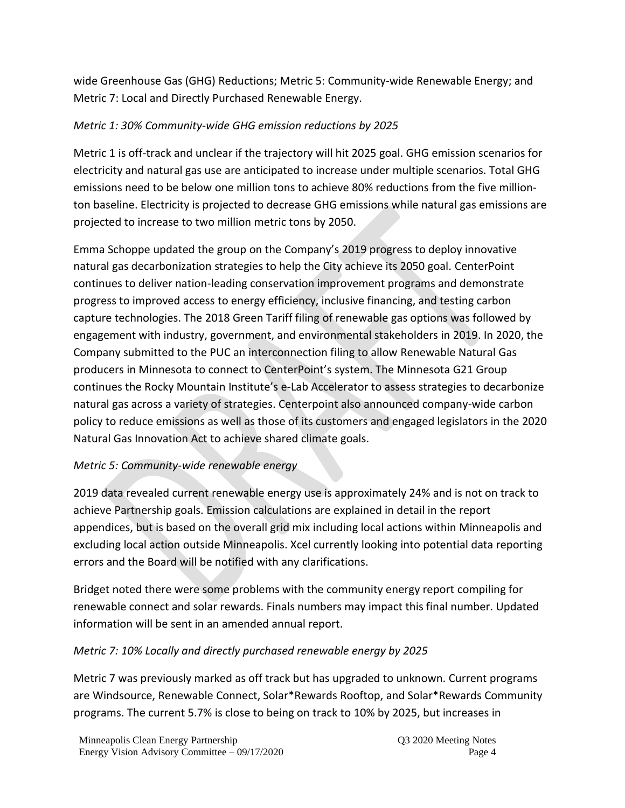wide Greenhouse Gas (GHG) Reductions; Metric 5: Community-wide Renewable Energy; and Metric 7: Local and Directly Purchased Renewable Energy.

### *Metric 1: 30% Community-wide GHG emission reductions by 2025*

Metric 1 is off-track and unclear if the trajectory will hit 2025 goal. GHG emission scenarios for electricity and natural gas use are anticipated to increase under multiple scenarios. Total GHG emissions need to be below one million tons to achieve 80% reductions from the five millionton baseline. Electricity is projected to decrease GHG emissions while natural gas emissions are projected to increase to two million metric tons by 2050.

Emma Schoppe updated the group on the Company's 2019 progress to deploy innovative natural gas decarbonization strategies to help the City achieve its 2050 goal. CenterPoint continues to deliver nation-leading conservation improvement programs and demonstrate progress to improved access to energy efficiency, inclusive financing, and testing carbon capture technologies. The 2018 Green Tariff filing of renewable gas options was followed by engagement with industry, government, and environmental stakeholders in 2019. In 2020, the Company submitted to the PUC an interconnection filing to allow Renewable Natural Gas producers in Minnesota to connect to CenterPoint's system. The Minnesota G21 Group continues the Rocky Mountain Institute's e-Lab Accelerator to assess strategies to decarbonize natural gas across a variety of strategies. Centerpoint also announced company-wide carbon policy to reduce emissions as well as those of its customers and engaged legislators in the 2020 Natural Gas Innovation Act to achieve shared climate goals.

## *Metric 5: Community-wide renewable energy*

2019 data revealed current renewable energy use is approximately 24% and is not on track to achieve Partnership goals. Emission calculations are explained in detail in the report appendices, but is based on the overall grid mix including local actions within Minneapolis and excluding local action outside Minneapolis. Xcel currently looking into potential data reporting errors and the Board will be notified with any clarifications.

Bridget noted there were some problems with the community energy report compiling for renewable connect and solar rewards. Finals numbers may impact this final number. Updated information will be sent in an amended annual report.

#### *Metric 7: 10% Locally and directly purchased renewable energy by 2025*

Metric 7 was previously marked as off track but has upgraded to unknown. Current programs are Windsource, Renewable Connect, Solar\*Rewards Rooftop, and Solar\*Rewards Community programs. The current 5.7% is close to being on track to 10% by 2025, but increases in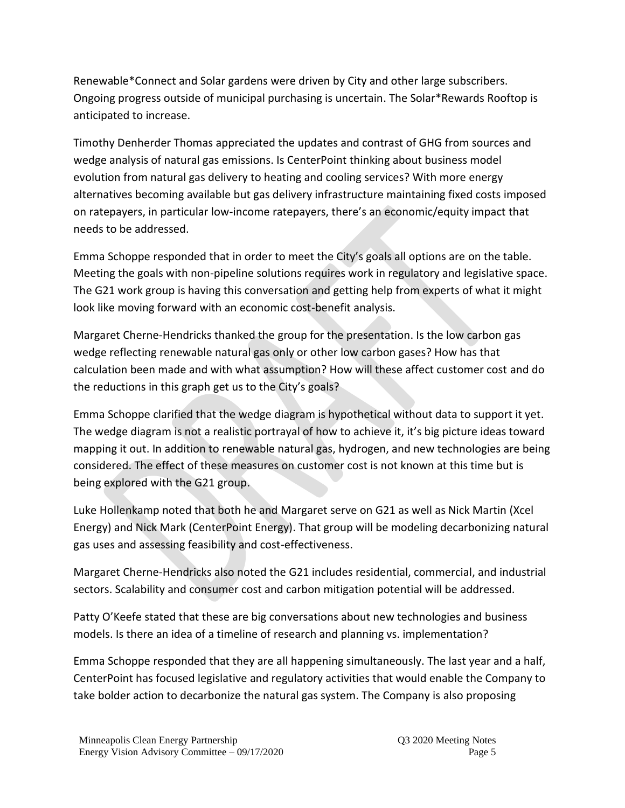Renewable\*Connect and Solar gardens were driven by City and other large subscribers. Ongoing progress outside of municipal purchasing is uncertain. The Solar\*Rewards Rooftop is anticipated to increase.

Timothy Denherder Thomas appreciated the updates and contrast of GHG from sources and wedge analysis of natural gas emissions. Is CenterPoint thinking about business model evolution from natural gas delivery to heating and cooling services? With more energy alternatives becoming available but gas delivery infrastructure maintaining fixed costs imposed on ratepayers, in particular low-income ratepayers, there's an economic/equity impact that needs to be addressed.

Emma Schoppe responded that in order to meet the City's goals all options are on the table. Meeting the goals with non-pipeline solutions requires work in regulatory and legislative space. The G21 work group is having this conversation and getting help from experts of what it might look like moving forward with an economic cost-benefit analysis.

Margaret Cherne-Hendricks thanked the group for the presentation. Is the low carbon gas wedge reflecting renewable natural gas only or other low carbon gases? How has that calculation been made and with what assumption? How will these affect customer cost and do the reductions in this graph get us to the City's goals?

Emma Schoppe clarified that the wedge diagram is hypothetical without data to support it yet. The wedge diagram is not a realistic portrayal of how to achieve it, it's big picture ideas toward mapping it out. In addition to renewable natural gas, hydrogen, and new technologies are being considered. The effect of these measures on customer cost is not known at this time but is being explored with the G21 group.

Luke Hollenkamp noted that both he and Margaret serve on G21 as well as Nick Martin (Xcel Energy) and Nick Mark (CenterPoint Energy). That group will be modeling decarbonizing natural gas uses and assessing feasibility and cost-effectiveness.

Margaret Cherne-Hendricks also noted the G21 includes residential, commercial, and industrial sectors. Scalability and consumer cost and carbon mitigation potential will be addressed.

Patty O'Keefe stated that these are big conversations about new technologies and business models. Is there an idea of a timeline of research and planning vs. implementation?

Emma Schoppe responded that they are all happening simultaneously. The last year and a half, CenterPoint has focused legislative and regulatory activities that would enable the Company to take bolder action to decarbonize the natural gas system. The Company is also proposing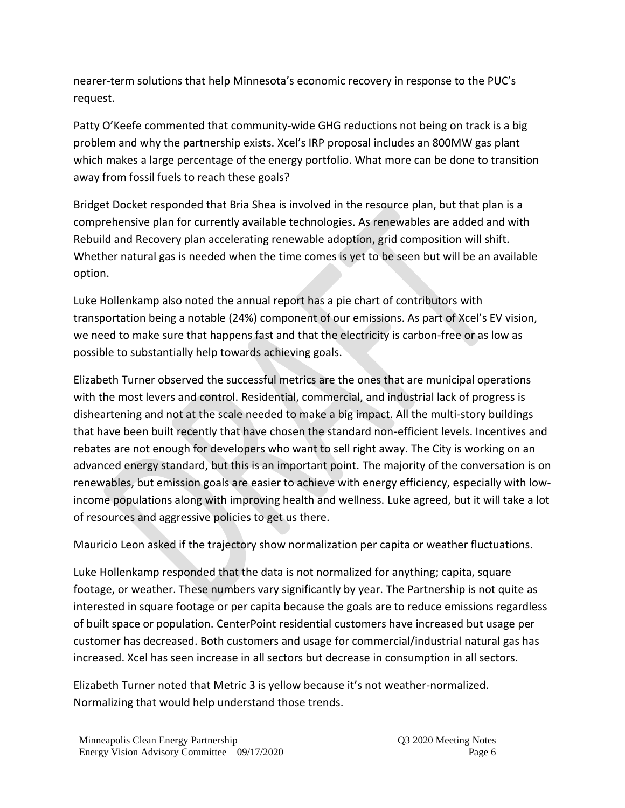nearer-term solutions that help Minnesota's economic recovery in response to the PUC's request.

Patty O'Keefe commented that community-wide GHG reductions not being on track is a big problem and why the partnership exists. Xcel's IRP proposal includes an 800MW gas plant which makes a large percentage of the energy portfolio. What more can be done to transition away from fossil fuels to reach these goals?

Bridget Docket responded that Bria Shea is involved in the resource plan, but that plan is a comprehensive plan for currently available technologies. As renewables are added and with Rebuild and Recovery plan accelerating renewable adoption, grid composition will shift. Whether natural gas is needed when the time comes is yet to be seen but will be an available option.

Luke Hollenkamp also noted the annual report has a pie chart of contributors with transportation being a notable (24%) component of our emissions. As part of Xcel's EV vision, we need to make sure that happens fast and that the electricity is carbon-free or as low as possible to substantially help towards achieving goals.

Elizabeth Turner observed the successful metrics are the ones that are municipal operations with the most levers and control. Residential, commercial, and industrial lack of progress is disheartening and not at the scale needed to make a big impact. All the multi-story buildings that have been built recently that have chosen the standard non-efficient levels. Incentives and rebates are not enough for developers who want to sell right away. The City is working on an advanced energy standard, but this is an important point. The majority of the conversation is on renewables, but emission goals are easier to achieve with energy efficiency, especially with lowincome populations along with improving health and wellness. Luke agreed, but it will take a lot of resources and aggressive policies to get us there.

Mauricio Leon asked if the trajectory show normalization per capita or weather fluctuations.

Luke Hollenkamp responded that the data is not normalized for anything; capita, square footage, or weather. These numbers vary significantly by year. The Partnership is not quite as interested in square footage or per capita because the goals are to reduce emissions regardless of built space or population. CenterPoint residential customers have increased but usage per customer has decreased. Both customers and usage for commercial/industrial natural gas has increased. Xcel has seen increase in all sectors but decrease in consumption in all sectors.

Elizabeth Turner noted that Metric 3 is yellow because it's not weather-normalized. Normalizing that would help understand those trends.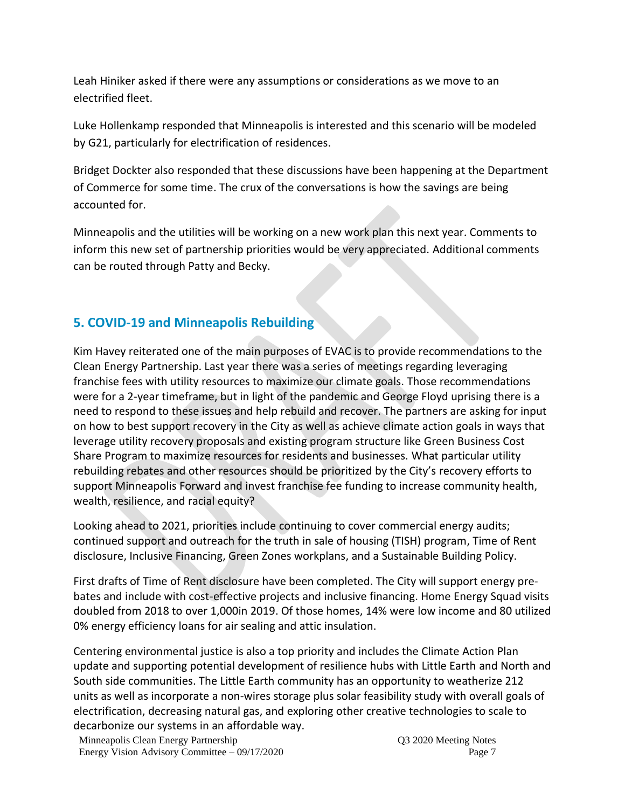Leah Hiniker asked if there were any assumptions or considerations as we move to an electrified fleet.

Luke Hollenkamp responded that Minneapolis is interested and this scenario will be modeled by G21, particularly for electrification of residences.

Bridget Dockter also responded that these discussions have been happening at the Department of Commerce for some time. The crux of the conversations is how the savings are being accounted for.

Minneapolis and the utilities will be working on a new work plan this next year. Comments to inform this new set of partnership priorities would be very appreciated. Additional comments can be routed through Patty and Becky.

## **5. COVID-19 and Minneapolis Rebuilding**

Kim Havey reiterated one of the main purposes of EVAC is to provide recommendations to the Clean Energy Partnership. Last year there was a series of meetings regarding leveraging franchise fees with utility resources to maximize our climate goals. Those recommendations were for a 2-year timeframe, but in light of the pandemic and George Floyd uprising there is a need to respond to these issues and help rebuild and recover. The partners are asking for input on how to best support recovery in the City as well as achieve climate action goals in ways that leverage utility recovery proposals and existing program structure like Green Business Cost Share Program to maximize resources for residents and businesses. What particular utility rebuilding rebates and other resources should be prioritized by the City's recovery efforts to support Minneapolis Forward and invest franchise fee funding to increase community health, wealth, resilience, and racial equity?

Looking ahead to 2021, priorities include continuing to cover commercial energy audits; continued support and outreach for the truth in sale of housing (TISH) program, Time of Rent disclosure, Inclusive Financing, Green Zones workplans, and a Sustainable Building Policy.

First drafts of Time of Rent disclosure have been completed. The City will support energy prebates and include with cost-effective projects and inclusive financing. Home Energy Squad visits doubled from 2018 to over 1,000in 2019. Of those homes, 14% were low income and 80 utilized 0% energy efficiency loans for air sealing and attic insulation.

Centering environmental justice is also a top priority and includes the Climate Action Plan update and supporting potential development of resilience hubs with Little Earth and North and South side communities. The Little Earth community has an opportunity to weatherize 212 units as well as incorporate a non-wires storage plus solar feasibility study with overall goals of electrification, decreasing natural gas, and exploring other creative technologies to scale to decarbonize our systems in an affordable way.

Minneapolis Clean Energy Partnership Q3 2020 Meeting Notes Energy Vision Advisory Committee – 09/17/2020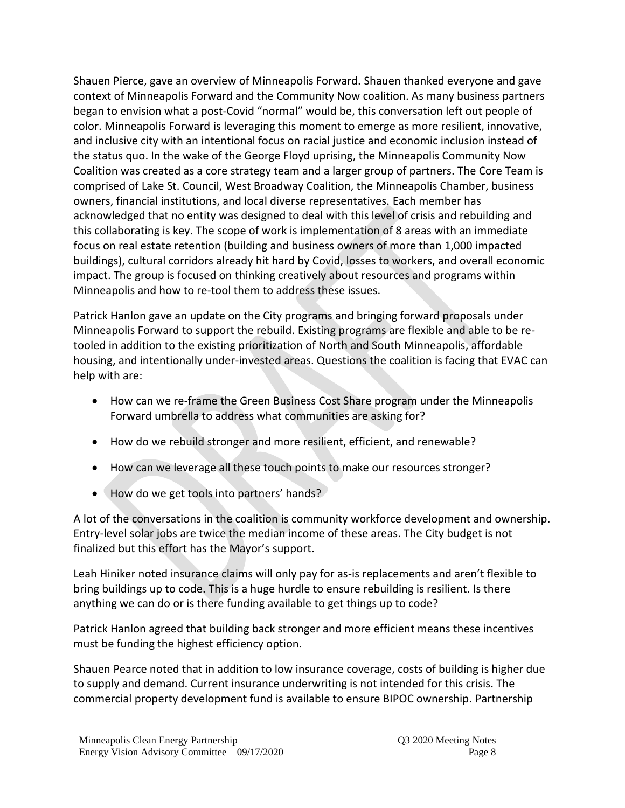Shauen Pierce, gave an overview of Minneapolis Forward. Shauen thanked everyone and gave context of Minneapolis Forward and the Community Now coalition. As many business partners began to envision what a post-Covid "normal" would be, this conversation left out people of color. Minneapolis Forward is leveraging this moment to emerge as more resilient, innovative, and inclusive city with an intentional focus on racial justice and economic inclusion instead of the status quo. In the wake of the George Floyd uprising, the Minneapolis Community Now Coalition was created as a core strategy team and a larger group of partners. The Core Team is comprised of Lake St. Council, West Broadway Coalition, the Minneapolis Chamber, business owners, financial institutions, and local diverse representatives. Each member has acknowledged that no entity was designed to deal with this level of crisis and rebuilding and this collaborating is key. The scope of work is implementation of 8 areas with an immediate focus on real estate retention (building and business owners of more than 1,000 impacted buildings), cultural corridors already hit hard by Covid, losses to workers, and overall economic impact. The group is focused on thinking creatively about resources and programs within Minneapolis and how to re-tool them to address these issues.

Patrick Hanlon gave an update on the City programs and bringing forward proposals under Minneapolis Forward to support the rebuild. Existing programs are flexible and able to be retooled in addition to the existing prioritization of North and South Minneapolis, affordable housing, and intentionally under-invested areas. Questions the coalition is facing that EVAC can help with are:

- How can we re-frame the Green Business Cost Share program under the Minneapolis Forward umbrella to address what communities are asking for?
- How do we rebuild stronger and more resilient, efficient, and renewable?
- How can we leverage all these touch points to make our resources stronger?
- How do we get tools into partners' hands?

A lot of the conversations in the coalition is community workforce development and ownership. Entry-level solar jobs are twice the median income of these areas. The City budget is not finalized but this effort has the Mayor's support.

Leah Hiniker noted insurance claims will only pay for as-is replacements and aren't flexible to bring buildings up to code. This is a huge hurdle to ensure rebuilding is resilient. Is there anything we can do or is there funding available to get things up to code?

Patrick Hanlon agreed that building back stronger and more efficient means these incentives must be funding the highest efficiency option.

Shauen Pearce noted that in addition to low insurance coverage, costs of building is higher due to supply and demand. Current insurance underwriting is not intended for this crisis. The commercial property development fund is available to ensure BIPOC ownership. Partnership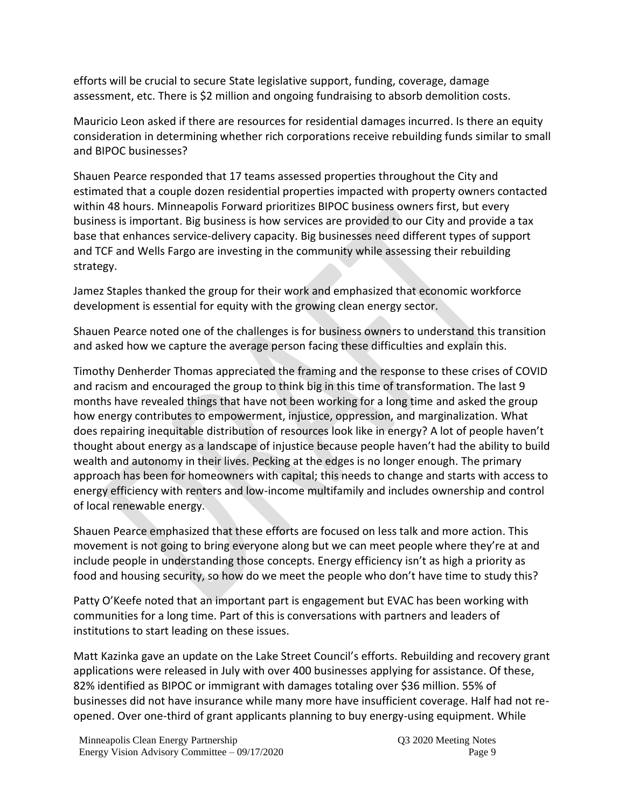efforts will be crucial to secure State legislative support, funding, coverage, damage assessment, etc. There is \$2 million and ongoing fundraising to absorb demolition costs.

Mauricio Leon asked if there are resources for residential damages incurred. Is there an equity consideration in determining whether rich corporations receive rebuilding funds similar to small and BIPOC businesses?

Shauen Pearce responded that 17 teams assessed properties throughout the City and estimated that a couple dozen residential properties impacted with property owners contacted within 48 hours. Minneapolis Forward prioritizes BIPOC business owners first, but every business is important. Big business is how services are provided to our City and provide a tax base that enhances service-delivery capacity. Big businesses need different types of support and TCF and Wells Fargo are investing in the community while assessing their rebuilding strategy.

Jamez Staples thanked the group for their work and emphasized that economic workforce development is essential for equity with the growing clean energy sector.

Shauen Pearce noted one of the challenges is for business owners to understand this transition and asked how we capture the average person facing these difficulties and explain this.

Timothy Denherder Thomas appreciated the framing and the response to these crises of COVID and racism and encouraged the group to think big in this time of transformation. The last 9 months have revealed things that have not been working for a long time and asked the group how energy contributes to empowerment, injustice, oppression, and marginalization. What does repairing inequitable distribution of resources look like in energy? A lot of people haven't thought about energy as a landscape of injustice because people haven't had the ability to build wealth and autonomy in their lives. Pecking at the edges is no longer enough. The primary approach has been for homeowners with capital; this needs to change and starts with access to energy efficiency with renters and low-income multifamily and includes ownership and control of local renewable energy.

Shauen Pearce emphasized that these efforts are focused on less talk and more action. This movement is not going to bring everyone along but we can meet people where they're at and include people in understanding those concepts. Energy efficiency isn't as high a priority as food and housing security, so how do we meet the people who don't have time to study this?

Patty O'Keefe noted that an important part is engagement but EVAC has been working with communities for a long time. Part of this is conversations with partners and leaders of institutions to start leading on these issues.

Matt Kazinka gave an update on the Lake Street Council's efforts. Rebuilding and recovery grant applications were released in July with over 400 businesses applying for assistance. Of these, 82% identified as BIPOC or immigrant with damages totaling over \$36 million. 55% of businesses did not have insurance while many more have insufficient coverage. Half had not reopened. Over one-third of grant applicants planning to buy energy-using equipment. While